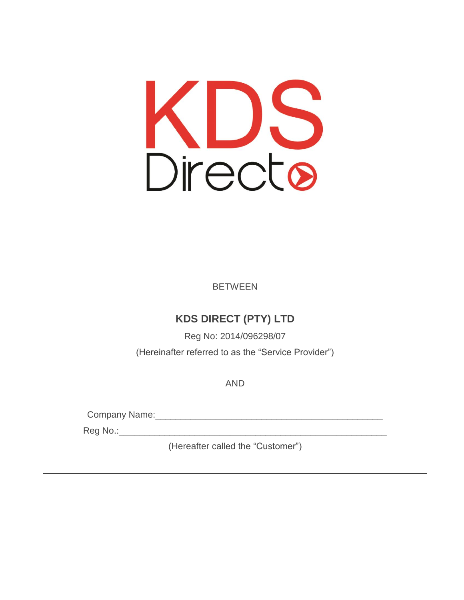

BETWEEN

### **KDS DIRECT (PTY) LTD**

Reg No: 2014/096298/07 (Hereinafter referred to as the "Service Provider")

AND

Company Name:\_\_\_\_\_\_\_\_\_\_\_\_\_\_\_\_\_\_\_\_\_\_\_\_\_\_\_\_\_\_\_\_\_\_\_\_\_\_\_\_\_\_\_\_\_

Reg No.:\_\_\_\_\_\_\_\_\_\_\_\_\_\_\_\_\_\_\_\_\_\_\_\_\_\_\_\_\_\_\_\_\_\_\_\_\_\_\_\_\_\_\_\_\_\_\_\_\_\_\_\_\_

(Hereafter called the "Customer")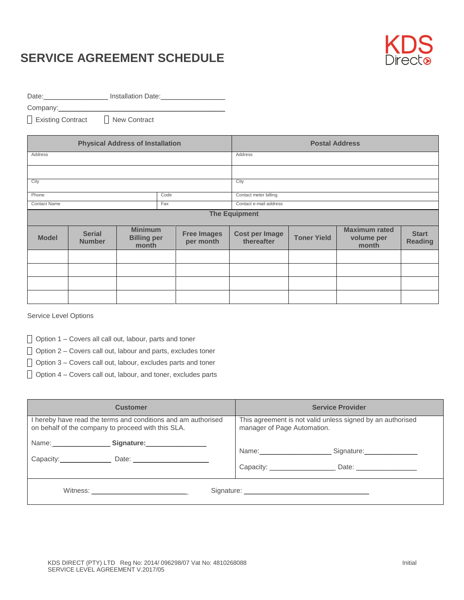

Date:\_\_\_\_\_\_\_\_\_\_\_\_\_\_\_\_\_\_\_\_\_\_\_\_ Installation Date:\_\_\_\_\_\_\_\_\_\_\_\_\_\_\_\_\_\_\_\_\_\_\_\_\_\_\_\_\_\_\_\_

Company:\_\_\_\_\_\_\_\_\_\_\_\_\_\_\_\_\_\_\_\_\_\_\_\_\_\_\_\_\_\_\_\_\_\_\_\_\_\_\_\_\_\_\_\_

Existing Contract 
<br> **New Contract** 

|                      |                                | <b>Physical Address of Installation</b>       |  |                                 | <b>Postal Address</b>               |                    |                                             |                                |
|----------------------|--------------------------------|-----------------------------------------------|--|---------------------------------|-------------------------------------|--------------------|---------------------------------------------|--------------------------------|
| Address              |                                |                                               |  |                                 | Address                             |                    |                                             |                                |
|                      |                                |                                               |  |                                 |                                     |                    |                                             |                                |
| City                 |                                |                                               |  |                                 | City                                |                    |                                             |                                |
| Phone                | Code                           |                                               |  |                                 | Contact meter billing               |                    |                                             |                                |
| <b>Contact Name</b>  | Fax                            |                                               |  |                                 | Contact e-mail address              |                    |                                             |                                |
| <b>The Equipment</b> |                                |                                               |  |                                 |                                     |                    |                                             |                                |
| <b>Model</b>         | <b>Serial</b><br><b>Number</b> | <b>Minimum</b><br><b>Billing per</b><br>month |  | <b>Free Images</b><br>per month | <b>Cost per Image</b><br>thereafter | <b>Toner Yield</b> | <b>Maximum rated</b><br>volume per<br>month | <b>Start</b><br><b>Reading</b> |
|                      |                                |                                               |  |                                 |                                     |                    |                                             |                                |
|                      |                                |                                               |  |                                 |                                     |                    |                                             |                                |
|                      |                                |                                               |  |                                 |                                     |                    |                                             |                                |
|                      |                                |                                               |  |                                 |                                     |                    |                                             |                                |

Service Level Options

 $\Box$  Option 1 – Covers all call out, labour, parts and toner

 $\Box$  Option 2 – Covers call out, labour and parts, excludes toner

 $\Box$  Option 3 – Covers call out, labour, excludes parts and toner

 $\Box$  Option 4 – Covers call out, labour, and toner, excludes parts

| <b>Customer</b>                                                                                                     | <b>Service Provider</b>                                                                   |  |  |
|---------------------------------------------------------------------------------------------------------------------|-------------------------------------------------------------------------------------------|--|--|
| I hereby have read the terms and conditions and am authorised<br>on behalf of the company to proceed with this SLA. | This agreement is not valid unless signed by an authorised<br>manager of Page Automation. |  |  |
| Capacity: Date:                                                                                                     | Signature: ________________<br>Date: _______________                                      |  |  |
| Witness: Witness:                                                                                                   |                                                                                           |  |  |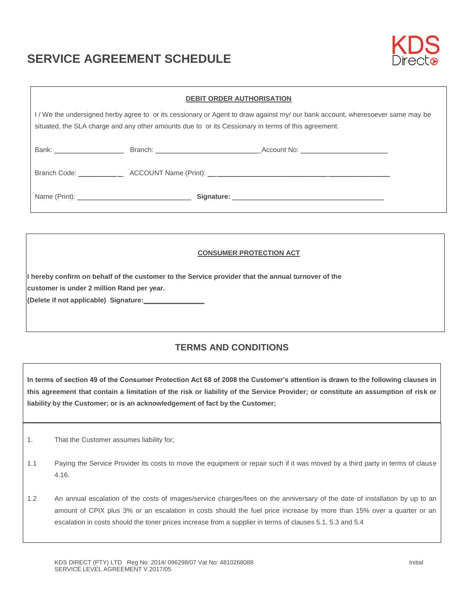

| <b>DEBIT ORDER AUTHORISATION</b>                                                                                                                                                                                                   |  |  |  |  |  |  |  |  |
|------------------------------------------------------------------------------------------------------------------------------------------------------------------------------------------------------------------------------------|--|--|--|--|--|--|--|--|
| I/We the undersigned herby agree to or its cessionary or Agent to draw against my/our bank account, wheresoever same may be<br>situated, the SLA charge and any other amounts due to or its Cessionary in terms of this agreement. |  |  |  |  |  |  |  |  |
|                                                                                                                                                                                                                                    |  |  |  |  |  |  |  |  |
|                                                                                                                                                                                                                                    |  |  |  |  |  |  |  |  |
|                                                                                                                                                                                                                                    |  |  |  |  |  |  |  |  |

#### **CONSUMER PROTECTION ACT**

**I hereby confirm on behalf of the customer to the Service provider that the annual turnover of the customer is under 2 million Rand per year.**

**(Delete if not applicable) Signature:\_\_\_\_\_\_\_\_\_\_\_\_\_\_\_\_** 

### **TERMS AND CONDITIONS**

**In terms of section 49 of the Consumer Protection Act 68 of 2008 the Customer's attention is drawn to the following clauses in this agreement that contain a limitation of the risk or liability of the Service Provider; or constitute an assumption of risk or liability by the Customer; or is an acknowledgement of fact by the Customer;**

- 1. That the Customer assumes liability for;
- 1.1 Paying the Service Provider its costs to move the equipment or repair such if it was moved by a third party in terms of clause 4.16.
- 1.2 An annual escalation of the costs of images/service charges/fees on the anniversary of the date of installation by up to an amount of CPIX plus 3% or an escalation in costs should the fuel price increase by more than 15% over a quarter or an escalation in costs should the toner prices increase from a supplier in terms of clauses 5.1, 5.3 and 5.4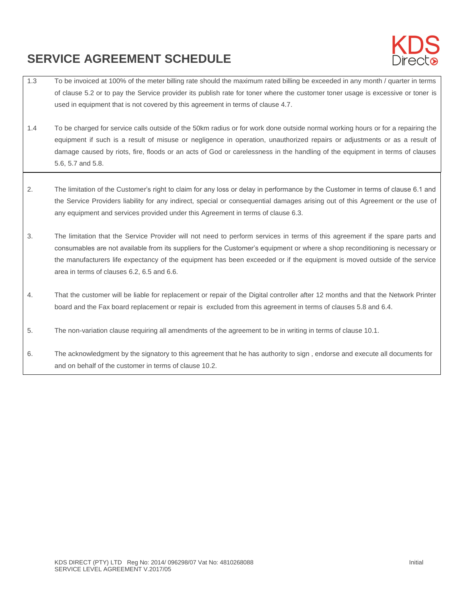

- 1.3 To be invoiced at 100% of the meter billing rate should the maximum rated billing be exceeded in any month / quarter in terms of clause 5.2 or to pay the Service provider its publish rate for toner where the customer toner usage is excessive or toner is used in equipment that is not covered by this agreement in terms of clause 4.7.
- 1.4 To be charged for service calls outside of the 50km radius or for work done outside normal working hours or for a repairing the equipment if such is a result of misuse or negligence in operation, unauthorized repairs or adjustments or as a result of damage caused by riots, fire, floods or an acts of God or carelessness in the handling of the equipment in terms of clauses 5.6, 5.7 and 5.8.
- 2. The limitation of the Customer's right to claim for any loss or delay in performance by the Customer in terms of clause 6.1 and the Service Providers liability for any indirect, special or consequential damages arising out of this Agreement or the use of any equipment and services provided under this Agreement in terms of clause 6.3.
- 3. The limitation that the Service Provider will not need to perform services in terms of this agreement if the spare parts and consumables are not available from its suppliers for the Customer's equipment or where a shop reconditioning is necessary or the manufacturers life expectancy of the equipment has been exceeded or if the equipment is moved outside of the service area in terms of clauses 6.2, 6.5 and 6.6.
- 4. That the customer will be liable for replacement or repair of the Digital controller after 12 months and that the Network Printer board and the Fax board replacement or repair is excluded from this agreement in terms of clauses 5.8 and 6.4.
- 5. The non-variation clause requiring all amendments of the agreement to be in writing in terms of clause 10.1.
- 6. The acknowledgment by the signatory to this agreement that he has authority to sign , endorse and execute all documents for and on behalf of the customer in terms of clause 10.2.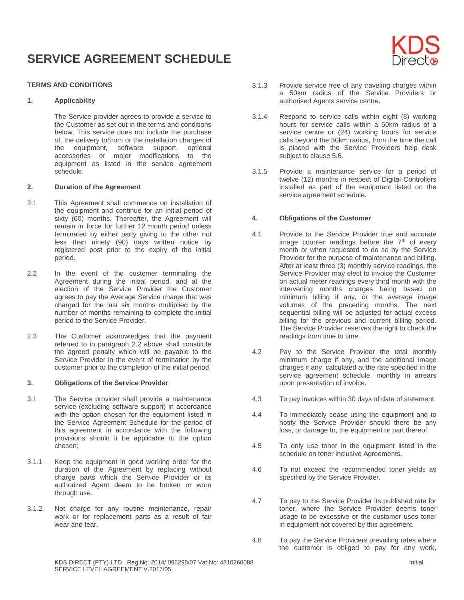#### **TERMS AND CONDITIONS**

#### **1. Applicability**

The Service provider agrees to provide a service to the Customer as set out in the terms and conditions below. This service does not include the purchase of, the delivery to/from or the installation charges of the equipment, software support, optional accessories or major modifications to the equipment as listed in the service agreement schedule.

#### **2. Duration of the Agreement**

- 2.1 This Agreement shall commence on installation of the equipment and continue for an initial period of sixty (60) months. Thereafter, the Agreement will remain in force for further 12 month period unless terminated by either party giving to the other not less than ninety (90) days written notice by registered post prior to the expiry of the initial period.
- 2.2 In the event of the customer terminating the Agreement during the initial period, and at the election of the Service Provider the Customer agrees to pay the Average Service charge that was charged for the last six months multiplied by the number of months remaining to complete the initial period to the Service Provider.
- 2.3 The Customer acknowledges that the payment referred to in paragraph 2.2 above shall constitute the agreed penalty which will be payable to the Service Provider in the event of termination by the customer prior to the completion of the initial period.

#### **3. Obligations of the Service Provider**

- 3.1 The Service provider shall provide a maintenance service (excluding software support) in accordance with the option chosen for the equipment listed in the Service Agreement Schedule for the period of this agreement in accordance with the following provisions should it be applicable to the option chosen;
- 3.1.1 Keep the equipment in good working order for the duration of the Agreement by replacing without charge parts which the Service Provider or its authorized Agent deem to be broken or worn through use.
- 3.1.2 Not charge for any routine maintenance, repair work or for replacement parts as a result of fair wear and tear.
- 3.1.3 Provide service free of any traveling charges within a 50km radius of the Service Providers or authorised Agents service centre.
- 3.1.4 Respond to service calls within eight (8) working hours for service calls within a 50km radius of a service centre or (24) working hours for service calls beyond the 50km radius, from the time the call is placed with the Service Providers help desk subject to clause 5.6.
- 3.1.5 Provide a maintenance service for a period of twelve (12) months in respect of Digital Controllers installed as part of the equipment listed on the service agreement schedule.

#### **4. Obligations of the Customer**

- 4.1 Provide to the Service Provider true and accurate image counter readings before the  $7<sup>th</sup>$  of every month or when requested to do so by the Service Provider for the purpose of maintenance and billing. After at least three (3) monthly service readings, the Service Provider may elect to invoice the Customer on actual meter readings every third month with the intervening months charges being based on minimum billing if any, or the average image volumes of the preceding months. The next sequential billing will be adjusted for actual excess billing for the previous and current billing period. The Service Provider reserves the right to check the readings from time to time.
- 4.2 Pay to the Service Provider the total monthly minimum charge if any, and the additional image charges if any, calculated at the rate specified in the service agreement schedule, monthly in arrears upon presentation of invoice.
- 4.3 To pay invoices within 30 days of date of statement.
- 4.4 To immediately cease using the equipment and to notify the Service Provider should there be any loss, or damage to, the equipment or part thereof.
- 4.5 To only use toner in the equipment listed in the schedule on toner inclusive Agreements.
- 4.6 To not exceed the recommended toner yields as specified by the Service Provider.
- 4.7 To pay to the Service Provider its published rate for toner, where the Service Provider deems toner usage to be excessive or the customer uses toner in equipment not covered by this agreement.
- 4.8 To pay the Service Providers prevailing rates where the customer is obliged to pay for any work,

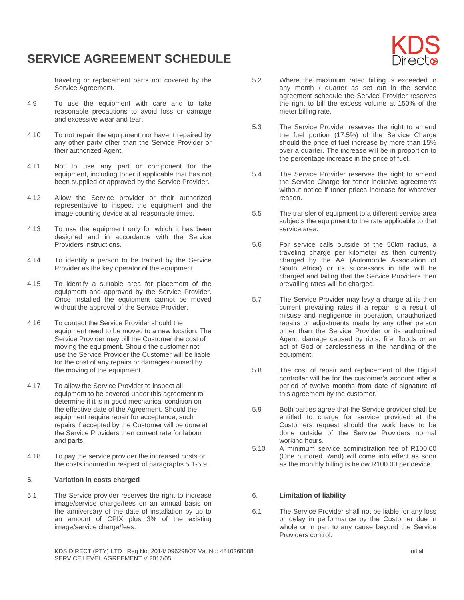

traveling or replacement parts not covered by the Service Agreement.

- 4.9 To use the equipment with care and to take reasonable precautions to avoid loss or damage and excessive wear and tear.
- 4.10 To not repair the equipment nor have it repaired by any other party other than the Service Provider or their authorized Agent.
- 4.11 Not to use any part or component for the equipment, including toner if applicable that has not been supplied or approved by the Service Provider.
- 4.12 Allow the Service provider or their authorized representative to inspect the equipment and the image counting device at all reasonable times.
- 4.13 To use the equipment only for which it has been designed and in accordance with the Service Providers instructions.
- 4.14 To identify a person to be trained by the Service Provider as the key operator of the equipment.
- 4.15 To identify a suitable area for placement of the equipment and approved by the Service Provider. Once installed the equipment cannot be moved without the approval of the Service Provider.
- 4.16 To contact the Service Provider should the equipment need to be moved to a new location. The Service Provider may bill the Customer the cost of moving the equipment. Should the customer not use the Service Provider the Customer will be liable for the cost of any repairs or damages caused by the moving of the equipment.
- 4.17 To allow the Service Provider to inspect all equipment to be covered under this agreement to determine if it is in good mechanical condition on the effective date of the Agreement. Should the equipment require repair for acceptance, such repairs if accepted by the Customer will be done at the Service Providers then current rate for labour and parts.
- 4.18 To pay the service provider the increased costs or the costs incurred in respect of paragraphs 5.1-5.9.

#### **5. Variation in costs charged**

5.1 The Service provider reserves the right to increase image/service charge/fees on an annual basis on the anniversary of the date of installation by up to an amount of CPIX plus 3% of the existing image/service charge/fees.

- 5.2 Where the maximum rated billing is exceeded in any month / quarter as set out in the service agreement schedule the Service Provider reserves the right to bill the excess volume at 150% of the meter billing rate.
- 5.3 The Service Provider reserves the right to amend the fuel portion (17.5%) of the Service Charge should the price of fuel increase by more than 15% over a quarter. The increase will be in proportion to the percentage increase in the price of fuel.
- 5.4 The Service Provider reserves the right to amend the Service Charge for toner inclusive agreements without notice if toner prices increase for whatever reason.
- 5.5 The transfer of equipment to a different service area subjects the equipment to the rate applicable to that service area.
- 5.6 For service calls outside of the 50km radius, a traveling charge per kilometer as then currently charged by the AA (Automobile Association of South Africa) or its successors in title will be charged and failing that the Service Providers then prevailing rates will be charged.
- 5.7 The Service Provider may levy a charge at its then current prevailing rates if a repair is a result of misuse and negligence in operation, unauthorized repairs or adjustments made by any other person other than the Service Provider or its authorized Agent, damage caused by riots, fire, floods or an act of God or carelessness in the handling of the equipment.
- 5.8 The cost of repair and replacement of the Digital controller will be for the customer's account after a period of twelve months from date of signature of this agreement by the customer.
- 5.9 Both parties agree that the Service provider shall be entitled to charge for service provided at the Customers request should the work have to be done outside of the Service Providers normal working hours.
- 5.10 A minimum service administration fee of R100.00 (One hundred Rand) will come into effect as soon as the monthly billing is below R100.00 per device.

#### 6. **Limitation of liability**

6.1 The Service Provider shall not be liable for any loss or delay in performance by the Customer due in whole or in part to any cause beyond the Service Providers control.

KDS DIRECT (PTY) LTD Reg No: 2014/096298/07 Vat No: 4810268088 Initial SERVICE LEVEL AGREEMENT V.2017/05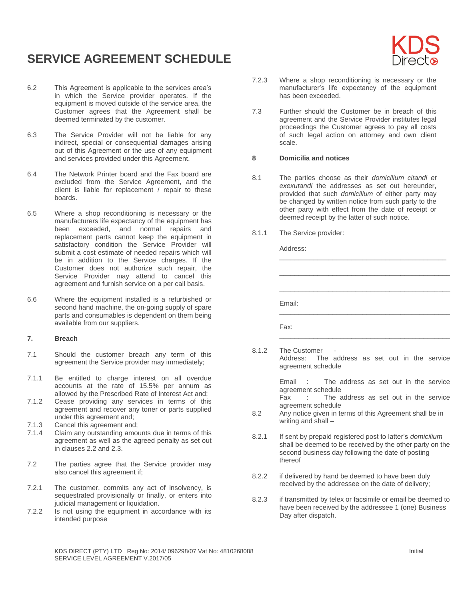

- 6.2 This Agreement is applicable to the services area's in which the Service provider operates. If the equipment is moved outside of the service area, the Customer agrees that the Agreement shall be deemed terminated by the customer.
- 6.3 The Service Provider will not be liable for any indirect, special or consequential damages arising out of this Agreement or the use of any equipment and services provided under this Agreement.
- 6.4 The Network Printer board and the Fax board are excluded from the Service Agreement, and the client is liable for replacement / repair to these boards.
- 6.5 Where a shop reconditioning is necessary or the manufacturers life expectancy of the equipment has been exceeded, and normal repairs and replacement parts cannot keep the equipment in satisfactory condition the Service Provider will submit a cost estimate of needed repairs which will be in addition to the Service charges. If the Customer does not authorize such repair, the Service Provider may attend to cancel this agreement and furnish service on a per call basis.
- 6.6 Where the equipment installed is a refurbished or second hand machine, the on-going supply of spare parts and consumables is dependent on them being available from our suppliers.

#### **7. Breach**

- 7.1 Should the customer breach any term of this agreement the Service provider may immediately;
- 7.1.1 Be entitled to charge interest on all overdue accounts at the rate of 15.5% per annum as allowed by the Prescribed Rate of Interest Act and;
- 7.1.2 Cease providing any services in terms of this agreement and recover any toner or parts supplied under this agreement and;
- 7.1.3 Cancel this agreement and;<br>7.1.4 Claim any outstanding amore
- Claim any outstanding amounts due in terms of this agreement as well as the agreed penalty as set out in clauses 2.2 and 2.3.
- 7.2 The parties agree that the Service provider may also cancel this agreement if;
- 7.2.1 The customer, commits any act of insolvency, is sequestrated provisionally or finally, or enters into judicial management or liquidation.
- 7.2.2 Is not using the equipment in accordance with its intended purpose
- 7.2.3 Where a shop reconditioning is necessary or the manufacturer's life expectancy of the equipment has been exceeded.
- 7.3 Further should the Customer be in breach of this agreement and the Service Provider institutes legal proceedings the Customer agrees to pay all costs of such legal action on attorney and own client scale.

#### **8 Domicilia and notices**

8.1 The parties choose as their *domicilium citandi et exexutandi* the addresses as set out hereunder, provided that such *domicilium* of either party may be changed by written notice from such party to the other party with effect from the date of receipt or deemed receipt by the latter of such notice.

\_\_\_\_\_\_\_\_\_\_\_\_\_\_\_\_\_\_\_\_\_\_\_\_\_\_\_\_\_\_\_\_\_\_\_\_\_\_\_\_\_\_\_\_

\_\_\_\_\_\_\_\_\_\_\_\_\_\_\_\_\_\_\_\_\_\_\_\_\_\_\_\_\_\_\_\_\_\_\_\_\_\_\_\_\_\_\_\_\_

\_\_\_\_\_\_\_\_\_\_\_\_\_\_\_\_\_\_\_\_\_\_\_\_\_\_\_\_\_\_\_\_\_\_\_\_\_\_\_\_\_\_\_\_\_

\_\_\_\_\_\_\_\_\_\_\_\_\_\_\_\_\_\_\_\_\_\_\_\_\_\_\_\_\_\_\_\_\_\_\_\_\_\_\_\_\_\_\_\_\_

\_\_\_\_\_\_\_\_\_\_\_\_\_\_\_\_\_\_\_\_\_\_\_\_\_\_\_\_\_\_\_\_\_\_\_\_\_\_\_\_\_\_\_\_\_

8.1.1 The Service provider:

Address:

Email:

Fax:

8.1.2 The Customer Address: The address as set out in the service agreement schedule

> Email : The address as set out in the service agreement schedule

> Fax : The address as set out in the service agreement schedule

- 8.2 Any notice given in terms of this Agreement shall be in writing and shall –
- 8.2.1 If sent by prepaid registered post to latter's *domicilium* shall be deemed to be received by the other party on the second business day following the date of posting thereof
- 8.2.2 if delivered by hand be deemed to have been duly received by the addressee on the date of delivery;
- 8.2.3 if transmitted by telex or facsimile or email be deemed to have been received by the addressee 1 (one) Business Day after dispatch.